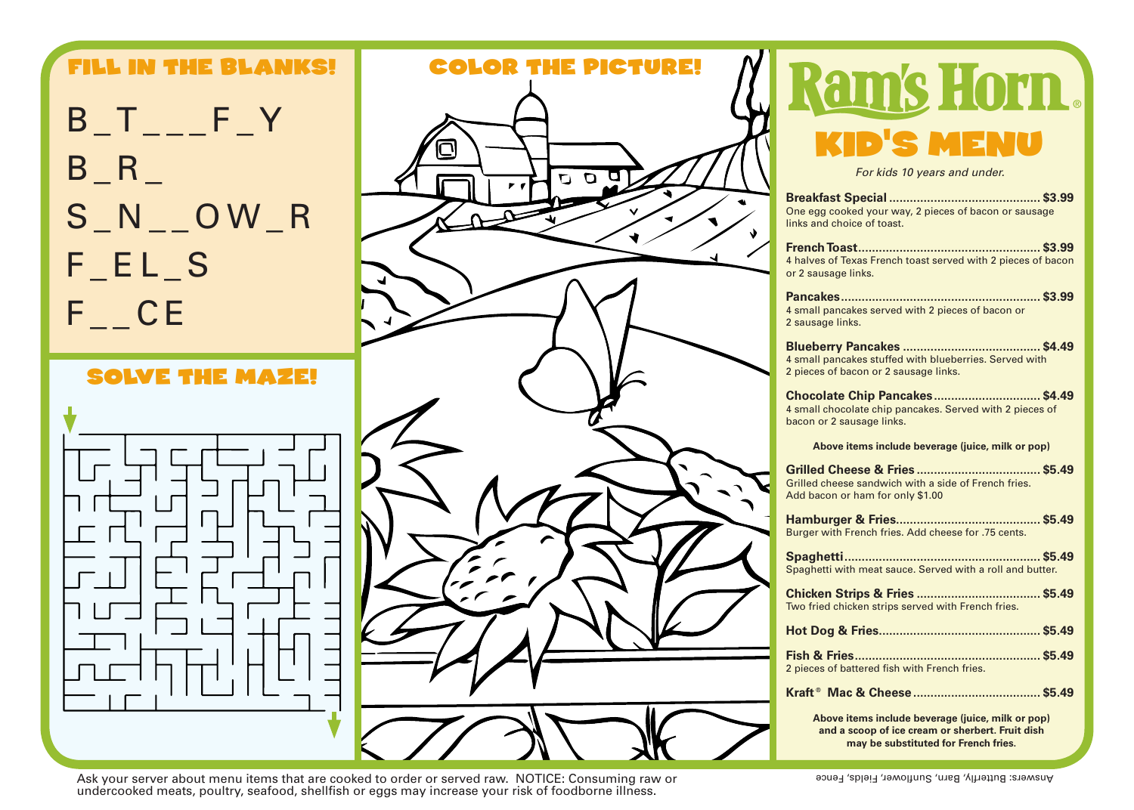

Ask your server about menu items that are cooked to order or served raw. NOTICE: Consuming raw or examely served that items that are cooked to order or served raw. NOTICE: Consuming raw or undercooked meats, poultry, seafood, shellfish or eggs may increase your risk of foodborne illness.

may be substituted for French fries.

**For kids 10 years and under.**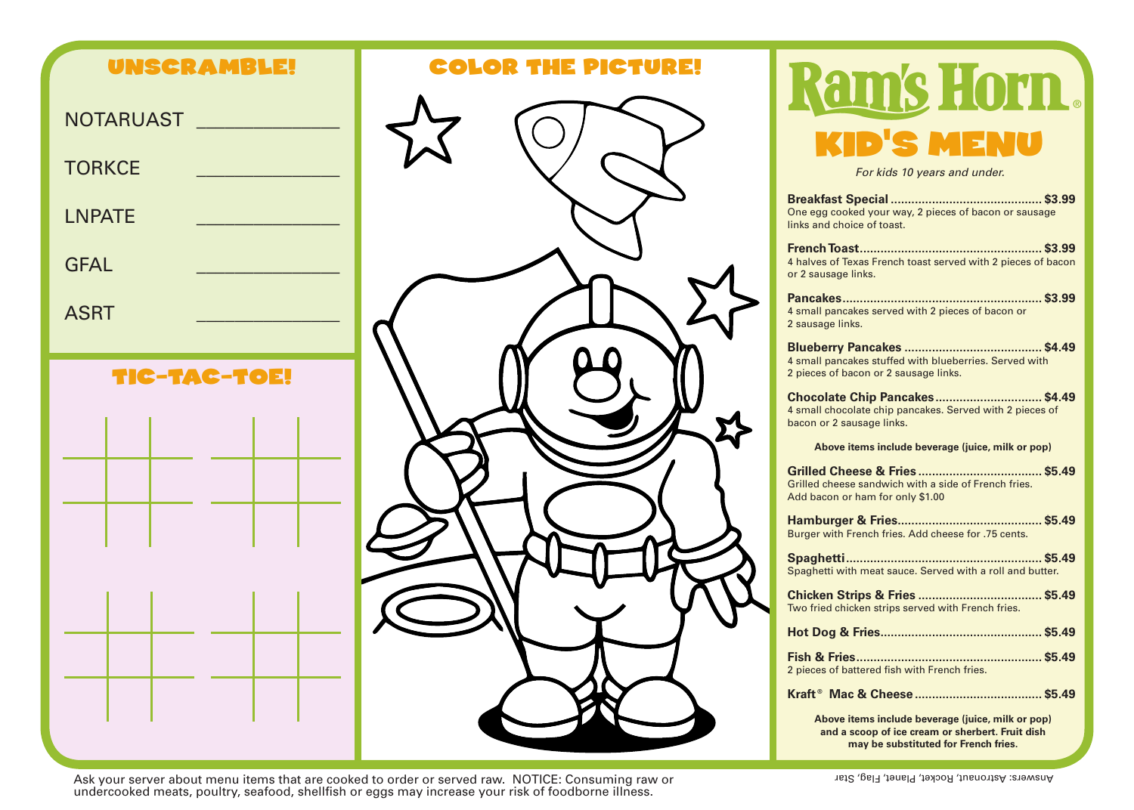



 or raw Consuming :NOTICE .raw served or order to cooked are that items menu about server your Ask Star ,Flag ,Planet ,Rocket ,Astronaut :Answers undercooked meats, poultry, seafood, shellfish or eggs may increase your risk of foodborne illness.

## Ram's Horn. **ENU**

**For kids 10 years and under.** 

| One egg cooked your way, 2 pieces of bacon or sausage<br>links and choice of toast.                                                           |
|-----------------------------------------------------------------------------------------------------------------------------------------------|
| 4 halves of Texas French toast served with 2 pieces of bacon<br>or 2 sausage links.                                                           |
| 4 small pancakes served with 2 pieces of bacon or<br>2 sausage links.                                                                         |
| 4 small pancakes stuffed with blueberries. Served with<br>2 pieces of bacon or 2 sausage links.                                               |
| Chocolate Chip Pancakes \$4.49<br>4 small chocolate chip pancakes. Served with 2 pieces of<br>bacon or 2 sausage links.                       |
| Above items include beverage (juice, milk or pop)                                                                                             |
| Grilled cheese sandwich with a side of French fries.<br>Add bacon or ham for only \$1.00                                                      |
| Burger with French fries. Add cheese for .75 cents.                                                                                           |
| Spaghetti with meat sauce. Served with a roll and butter.                                                                                     |
| Two fried chicken strips served with French fries.                                                                                            |
|                                                                                                                                               |
| 2 pieces of battered fish with French fries.                                                                                                  |
|                                                                                                                                               |
| Above items include beverage (juice, milk or pop)<br>and a scoop of ice cream or sherbert. Fruit dish<br>may be substituted for French fries. |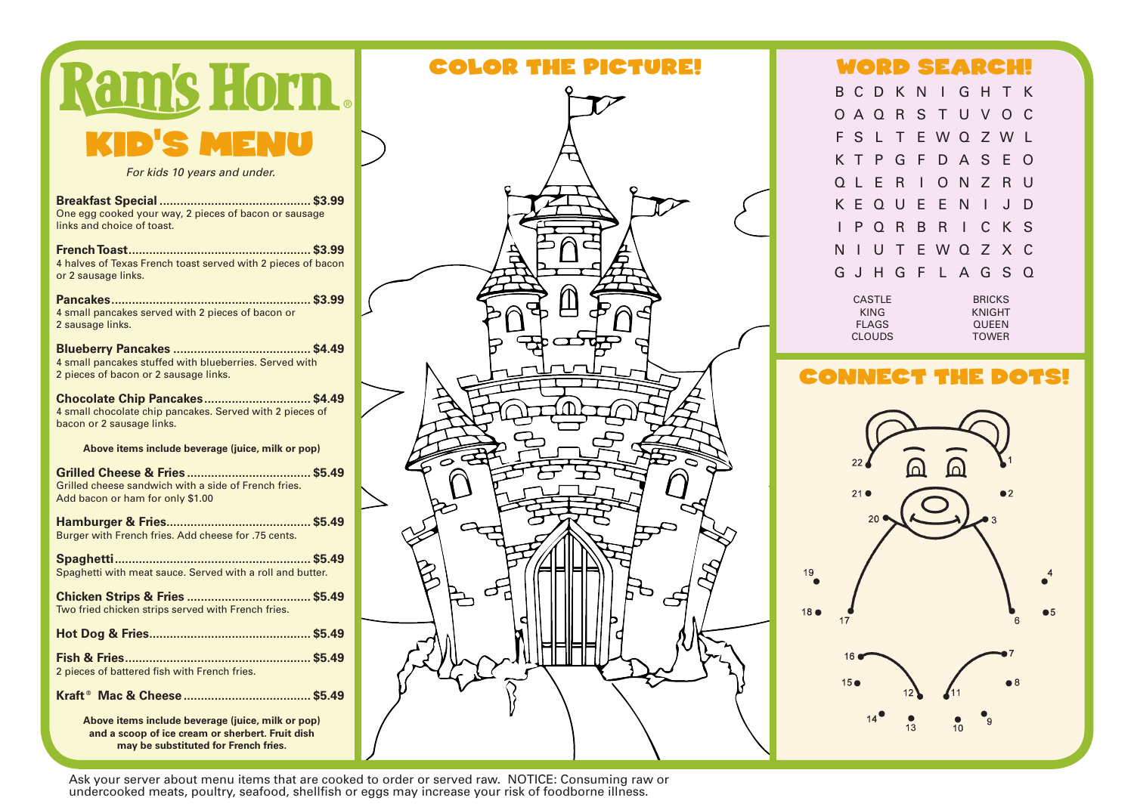| ams Horn.                                                                                                               |
|-------------------------------------------------------------------------------------------------------------------------|
| <b>D'S MENU</b>                                                                                                         |
| For kids 10 years and under.                                                                                            |
| One egg cooked your way, 2 pieces of bacon or sausage<br>links and choice of toast.                                     |
| 53.99<br><b>French Toast</b><br>4 halves of Texas French toast served with 2 pieces of bacon<br>or 2 sausage links.     |
| 4 small pancakes served with 2 pieces of bacon or<br>2 sausage links.                                                   |
| 4 small pancakes stuffed with blueberries. Served with<br>2 pieces of bacon or 2 sausage links.                         |
| Chocolate Chip Pancakes \$4.49<br>4 small chocolate chip pancakes. Served with 2 pieces of<br>bacon or 2 sausage links. |
| Above items include beverage (juice, milk or pop)                                                                       |
| Grilled cheese sandwich with a side of French fries.<br>Add bacon or ham for only \$1.00                                |
| Burger with French fries. Add cheese for .75 cents.                                                                     |
| Spaghetti with meat sauce. Served with a roll and butter.                                                               |
| Two fried chicken strips served with French fries.                                                                      |
|                                                                                                                         |
| 2 pieces of battered fish with French fries.                                                                            |
|                                                                                                                         |
| Above items include beverage (juice, milk or pop)<br>and a scoop of ice cream or sherbert. Fruit dish                   |

may be substituted for French fries.

 $\epsilon$ F

## COLOR THE PICTURE! WORD SEARCH!

B C D K N I G H T K O A Q R S T U V O C F S L T E W Q Z W L K T P G F D A S E O Q L E R I O N Z R U K E Q U E E N I J D I P Q R B R I C K S N I U T E W Q Z X C G J H G F L A G S Q

CASTLE KING FLAGS CLOUDS BRICKS KNIGHT QUEEN TOWER

## **CONNECT THE DOTS!**



Ask your server about menu items that are cooked to order or served raw. NOTICE: Consuming raw or undercooked meats, poultry, seafood, shellfish or eggs may increase your risk of foodborne illness.